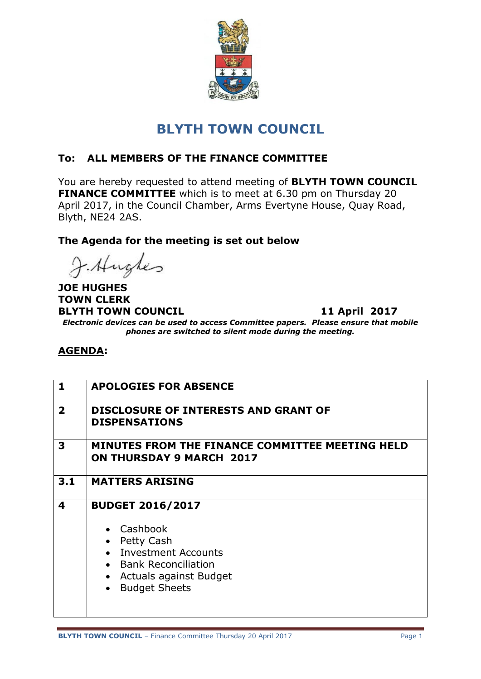

# **BLYTH TOWN COUNCIL**

### **To: ALL MEMBERS OF THE FINANCE COMMITTEE**

You are hereby requested to attend meeting of **BLYTH TOWN COUNCIL FINANCE COMMITTEE** which is to meet at 6.30 pm on Thursday 20 April 2017, in the Council Chamber, Arms Evertyne House, Quay Road, Blyth, NE24 2AS.

#### **The Agenda for the meeting is set out below**

J. Hughes

#### **JOE HUGHES TOWN CLERK BLYTH TOWN COUNCIL 11 April 2017**

*Electronic devices can be used to access Committee papers. Please ensure that mobile phones are switched to silent mode during the meeting.*

#### **AGENDA:**

| $\mathbf{1}$   | <b>APOLOGIES FOR ABSENCE</b>                                                                                                                              |
|----------------|-----------------------------------------------------------------------------------------------------------------------------------------------------------|
| $\overline{2}$ | <b>DISCLOSURE OF INTERESTS AND GRANT OF</b><br><b>DISPENSATIONS</b>                                                                                       |
| 3              | MINUTES FROM THE FINANCE COMMITTEE MEETING HELD<br><b>ON THURSDAY 9 MARCH 2017</b>                                                                        |
| 3.1            | <b>MATTERS ARISING</b>                                                                                                                                    |
| 4              | <b>BUDGET 2016/2017</b><br>• Cashbook<br>Petty Cash<br>• Investment Accounts<br>• Bank Reconciliation<br>• Actuals against Budget<br><b>Budget Sheets</b> |